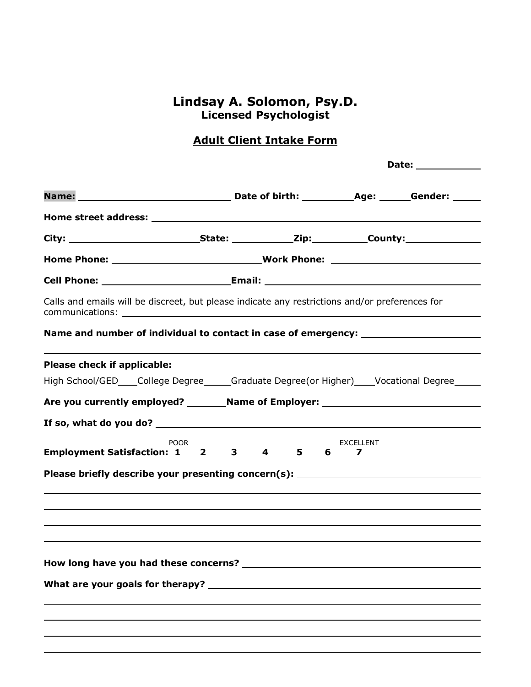## **Lindsay A. Solomon, Psy.D. Licensed Psychologist**

# **Adult Client Intake Form**

|                                                                                                                                                                                                               |  |  | Date: the contract of the contract of the contract of the contract of the contract of the contract of the contract of the contract of the contract of the contract of the contract of the contract of the contract of the cont |  |  |
|---------------------------------------------------------------------------------------------------------------------------------------------------------------------------------------------------------------|--|--|--------------------------------------------------------------------------------------------------------------------------------------------------------------------------------------------------------------------------------|--|--|
|                                                                                                                                                                                                               |  |  |                                                                                                                                                                                                                                |  |  |
|                                                                                                                                                                                                               |  |  |                                                                                                                                                                                                                                |  |  |
|                                                                                                                                                                                                               |  |  |                                                                                                                                                                                                                                |  |  |
|                                                                                                                                                                                                               |  |  |                                                                                                                                                                                                                                |  |  |
|                                                                                                                                                                                                               |  |  |                                                                                                                                                                                                                                |  |  |
| Calls and emails will be discreet, but please indicate any restrictions and/or preferences for                                                                                                                |  |  |                                                                                                                                                                                                                                |  |  |
| Name and number of individual to contact in case of emergency: _________________                                                                                                                              |  |  |                                                                                                                                                                                                                                |  |  |
| Please check if applicable:                                                                                                                                                                                   |  |  |                                                                                                                                                                                                                                |  |  |
| High School/GED___College Degree_____Graduate Degree(or Higher)____Vocational Degree_____                                                                                                                     |  |  |                                                                                                                                                                                                                                |  |  |
| Are you currently employed? ___________Name of Employer: _______________________                                                                                                                              |  |  |                                                                                                                                                                                                                                |  |  |
|                                                                                                                                                                                                               |  |  |                                                                                                                                                                                                                                |  |  |
| <b>POOR</b><br>EXCELLENT<br><b>Employment Satisfaction: 1 2 3</b><br>$\overline{\mathbf{4}}$<br>$5^{\circ}$<br>$6 -$<br>7<br>Please briefly describe your presenting concern(s): ____________________________ |  |  |                                                                                                                                                                                                                                |  |  |
|                                                                                                                                                                                                               |  |  |                                                                                                                                                                                                                                |  |  |
|                                                                                                                                                                                                               |  |  |                                                                                                                                                                                                                                |  |  |
|                                                                                                                                                                                                               |  |  |                                                                                                                                                                                                                                |  |  |
|                                                                                                                                                                                                               |  |  |                                                                                                                                                                                                                                |  |  |
|                                                                                                                                                                                                               |  |  |                                                                                                                                                                                                                                |  |  |
|                                                                                                                                                                                                               |  |  |                                                                                                                                                                                                                                |  |  |
|                                                                                                                                                                                                               |  |  |                                                                                                                                                                                                                                |  |  |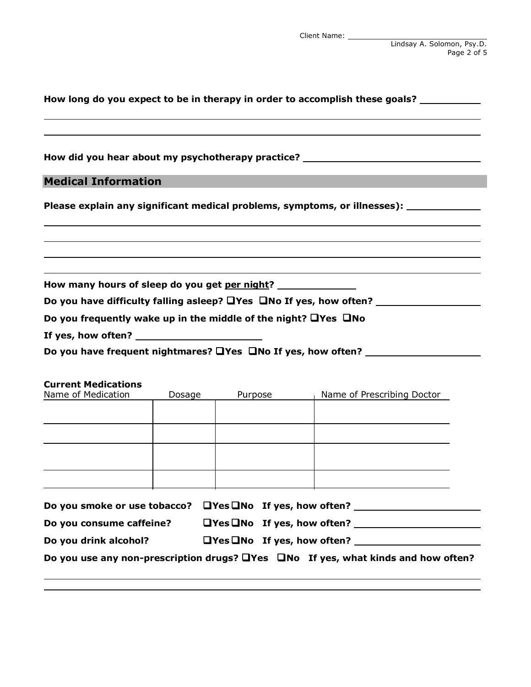Lindsay A. Solomon, Psy.D. Page 2 of 5

| How long do you expect to be in therapy in order to accomplish these goals? ___________ |        |         |                                                                                                                                                 |  |  |
|-----------------------------------------------------------------------------------------|--------|---------|-------------------------------------------------------------------------------------------------------------------------------------------------|--|--|
|                                                                                         |        |         | How did you hear about my psychotherapy practice? ______________________________                                                                |  |  |
| <b>Medical Information</b>                                                              |        |         |                                                                                                                                                 |  |  |
|                                                                                         |        |         | Please explain any significant medical problems, symptoms, or illnesses): ____________                                                          |  |  |
|                                                                                         |        |         |                                                                                                                                                 |  |  |
| How many hours of sleep do you get per night?                                           |        |         |                                                                                                                                                 |  |  |
|                                                                                         |        |         |                                                                                                                                                 |  |  |
| Do you frequently wake up in the middle of the night? $\Box$ Yes $\Box$ No              |        |         |                                                                                                                                                 |  |  |
|                                                                                         |        |         |                                                                                                                                                 |  |  |
|                                                                                         |        |         | Do you have frequent nightmares? UYes UNo If yes, how often?                                                                                    |  |  |
| <b>Current Medications</b><br>Name of Medication                                        | Dosage | Purpose | Name of Prescribing Doctor                                                                                                                      |  |  |
|                                                                                         |        |         |                                                                                                                                                 |  |  |
|                                                                                         |        |         |                                                                                                                                                 |  |  |
|                                                                                         |        |         |                                                                                                                                                 |  |  |
|                                                                                         |        |         |                                                                                                                                                 |  |  |
|                                                                                         |        |         | Do you smoke or use tobacco? UYes UNo If yes, how often? _______________________                                                                |  |  |
|                                                                                         |        |         | Do you consume caffeine? $QY$ es $QN$ o If yes, how often? $QY$                                                                                 |  |  |
| Do you drink alcohol?                                                                   |        |         | $\Box$ Yes $\Box$ No If yes, how often? $\Box$<br>Do you use any non-prescription drugs? $\Box$ Yes $\Box$ No If yes, what kinds and how often? |  |  |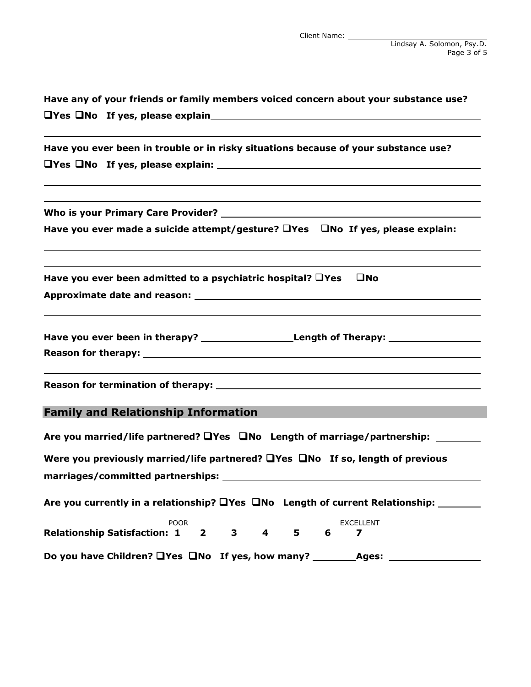| Have any of your friends or family members voiced concern about your substance use?                                                                                   |  |  |  |  |
|-----------------------------------------------------------------------------------------------------------------------------------------------------------------------|--|--|--|--|
| $\Box$ Yes $\Box$ No If yes, please explain $\Box$                                                                                                                    |  |  |  |  |
| Have you ever been in trouble or in risky situations because of your substance use?                                                                                   |  |  |  |  |
|                                                                                                                                                                       |  |  |  |  |
|                                                                                                                                                                       |  |  |  |  |
| Have you ever made a suicide attempt/gesture? UYes UNo If yes, please explain:<br>,我们也不会有什么。""我们的人,我们也不会有什么?""我们的人,我们也不会有什么?""我们的人,我们也不会有什么?""我们的人,我们也不会有什么?""我们的人    |  |  |  |  |
| ,我们也不会有什么。""我们的人,我们也不会有什么?""我们的人,我们也不会有什么?""我们的人,我们也不会有什么?""我们的人,我们也不会有什么?""我们的人<br>Have you ever been admitted to a psychiatric hospital? $\Box$ Yes<br>$\square$ No |  |  |  |  |
| Have you ever been in therapy? __________________________Length of Therapy: _______________________                                                                   |  |  |  |  |
|                                                                                                                                                                       |  |  |  |  |
| <b>Family and Relationship Information</b>                                                                                                                            |  |  |  |  |
| Are you married/life partnered? $\Box$ Yes $\Box$ No Length of marriage/partnership:                                                                                  |  |  |  |  |
| Were you previously married/life partnered? $\Box$ Yes $\Box$ No If so, length of previous                                                                            |  |  |  |  |
|                                                                                                                                                                       |  |  |  |  |
| Are you currently in a relationship? $\Box$ Yes $\Box$ No Length of current Relationship: $\Box$                                                                      |  |  |  |  |
| <b>POOR</b><br>EXCELLENT<br>$3^{\circ}$<br>$\overline{\mathbf{4}}$<br>$5 -$<br><b>Relationship Satisfaction: 1</b><br>$\overline{\mathbf{2}}$<br>6<br>7               |  |  |  |  |
| Do you have Children? UYes UNo If yes, how many? _______________________________                                                                                      |  |  |  |  |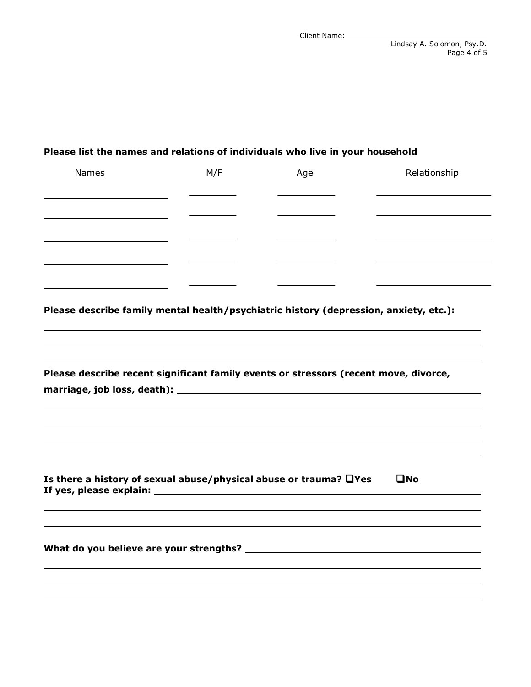#### **Please list the names and relations of individuals who live in your household**

|                                                                                       | M/F | Age | Relationship |
|---------------------------------------------------------------------------------------|-----|-----|--------------|
|                                                                                       |     |     |              |
|                                                                                       |     |     |              |
|                                                                                       |     |     |              |
|                                                                                       |     |     |              |
| Please describe family mental health/psychiatric history (depression, anxiety, etc.): |     |     |              |
|                                                                                       |     |     |              |
|                                                                                       |     |     |              |
|                                                                                       |     |     |              |
| Please describe recent significant family events or stressors (recent move, divorce,  |     |     |              |
|                                                                                       |     |     |              |
|                                                                                       |     |     |              |
|                                                                                       |     |     |              |
|                                                                                       |     |     |              |
|                                                                                       |     |     |              |
|                                                                                       |     |     |              |
|                                                                                       |     |     | $\square$ No |
|                                                                                       |     |     |              |
|                                                                                       |     |     |              |
| Is there a history of sexual abuse/physical abuse or trauma? $\Box$ Yes               |     |     |              |
|                                                                                       |     |     |              |
|                                                                                       |     |     |              |